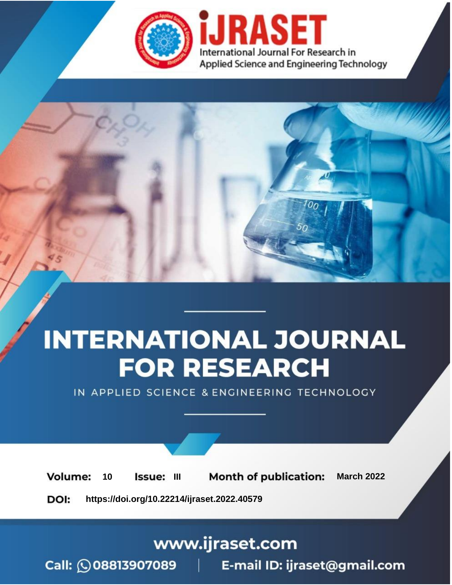

# **INTERNATIONAL JOURNAL FOR RESEARCH**

IN APPLIED SCIENCE & ENGINEERING TECHNOLOGY

10 **Issue: III Month of publication:** March 2022 **Volume:** 

**https://doi.org/10.22214/ijraset.2022.40579**DOI:

www.ijraset.com

Call: 008813907089 | E-mail ID: ijraset@gmail.com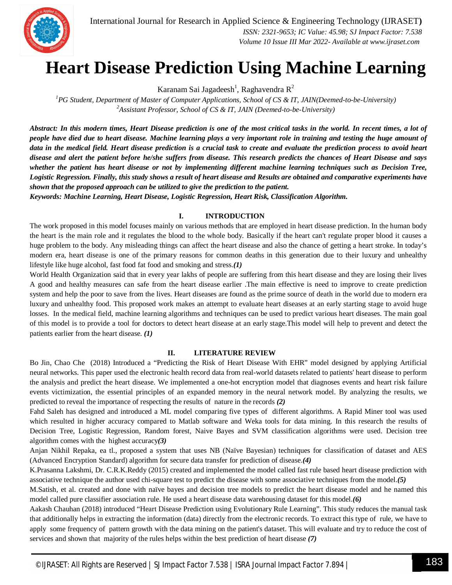

International Journal for Research in Applied Science & Engineering Technology (IJRASET**)**  *ISSN: 2321-9653; IC Value: 45.98; SJ Impact Factor: 7.538 Volume 10 Issue III Mar 2022- Available at www.ijraset.com*

# **Heart Disease Prediction Using Machine Learning**

Karanam Sai Jagadeesh<sup>1</sup>, Raghavendra R<sup>2</sup>

*<sup>1</sup>PG Student, Department of Master of Computer Applications, School of CS & IT, JAIN(Deemed-to-be-University) <sup>2</sup>Assistant Professor, School of CS & IT, JAIN (Deemed-to-be-University)*

*Abstract: In this modern times, Heart Disease prediction is one of the most critical tasks in the world. In recent times, a lot of people have died due to heart disease. Machine learning plays a very important role in training and testing the huge amount of data in the medical field. Heart disease prediction is a crucial task to create and evaluate the prediction process to avoid heart disease and alert the patient before he/she suffers from disease. This research predicts the chances of Heart Disease and says whether the patient has heart disease or not by implementing different machine learning techniques such as Decision Tree, Logistic Regression. Finally, this study shows a result of heart disease and Results are obtained and comparative experiments have shown that the proposed approach can be utilized to give the prediction to the patient.*

*Keywords: Machine Learning, Heart Disease, Logistic Regression, Heart Risk, Classification Algorithm.*

### **I. INTRODUCTION**

The work proposed in this model focuses mainly on various methods that are employed in heart disease prediction. In the human body the heart is the main role and it regulates the blood to the whole body. Basically if the heart can't regulate proper blood it causes a huge problem to the body. Any misleading things can affect the heart disease and also the chance of getting a heart stroke. In today's modern era, heart disease is one of the primary reasons for common deaths in this generation due to their luxury and unhealthy lifestyle like huge alcohol, fast food fat food and smoking and stress.*(1)*

World Health Organization said that in every year lakhs of people are suffering from this heart disease and they are losing their lives A good and healthy measures can safe from the heart disease earlier .The main effective is need to improve to create prediction system and help the poor to save from the lives. Heart diseases are found as the prime source of death in the world due to modern era luxury and unhealthy food. This proposed work makes an attempt to evaluate heart diseases at an early starting stage to avoid huge losses. In the medical field, machine learning algorithms and techniques can be used to predict various heart diseases. The main goal of this model is to provide a tool for doctors to detect heart disease at an early stage.This model will help to prevent and detect the patients earlier from the heart disease. *(1)*

### **II. LITERATURE REVIEW**

Bo Jin, Chao Che (2018) Introduced a "Predicting the Risk of Heart Disease With EHR" model designed by applying Artificial neural networks. This paper used the electronic health record data from real-world datasets related to patients' heart disease to perform the analysis and predict the heart disease. We implemented a one-hot encryption model that diagnoses events and heart risk failure events victimization, the essential principles of an expanded memory in the neural network model. By analyzing the results, we predicted to reveal the importance of respecting the results of nature in the records *(2)*

Fahd Saleh has designed and introduced a ML model comparing five types of different algorithms. A Rapid Miner tool was used which resulted in higher accuracy compared to Matlab software and Weka tools for data mining. In this research the results of Decision Tree, Logistic Regression, Random forest, Naive Bayes and SVM classification algorithms were used. Decision tree algorithm comes with the highest accuracy*(3)*

Anjan Nikhil Repaka, ea tl., proposed a system that uses NB (Naïve Bayesian) techniques for classification of dataset and AES (Advanced Encryption Standard) algorithm for secure data transfer for prediction of disease.*(4)*

K.Prasanna Lakshmi, Dr. C.R.K.Reddy (2015) created and implemented the model called fast rule based heart disease prediction with associative technique the author used chi-square test to predict the disease with some associative techniques from the model.*(5)*

M.Satish, et al. created and done with naïve bayes and decision tree models to predict the heart disease model and he named this model called pure classifier association rule. He used a heart disease data warehousing dataset for this model.*(6)*

Aakash Chauhan (2018) introduced "Heart Disease Prediction using Evolutionary Rule Learning". This study reduces the manual task that additionally helps in extracting the information (data) directly from the electronic records. To extract this type of rule, we have to apply some frequency of pattern growth with the data mining on the patient's dataset. This will evaluate and try to reduce the cost of services and shown that majority of the rules helps within the best prediction of heart disease *(7)*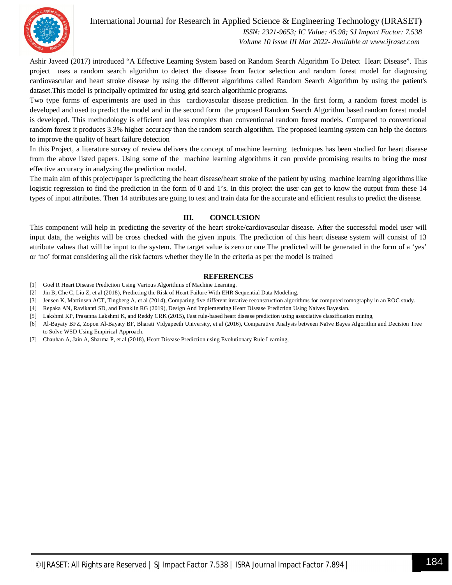

# International Journal for Research in Applied Science & Engineering Technology (IJRASET**)**

 *ISSN: 2321-9653; IC Value: 45.98; SJ Impact Factor: 7.538 Volume 10 Issue III Mar 2022- Available at www.ijraset.com*

Ashir Javeed (2017) introduced "A Effective Learning System based on Random Search Algorithm To Detect Heart Disease". This project uses a random search algorithm to detect the disease from factor selection and random forest model for diagnosing cardiovascular and heart stroke disease by using the different algorithms called Random Search Algorithm by using the patient's dataset.This model is principally optimized for using grid search algorithmic programs.

Two type forms of experiments are used in this cardiovascular disease prediction. In the first form, a random forest model is developed and used to predict the model and in the second form the proposed Random Search Algorithm based random forest model is developed. This methodology is efficient and less complex than conventional random forest models. Compared to conventional random forest it produces 3.3% higher accuracy than the random search algorithm. The proposed learning system can help the doctors to improve the quality of heart failure detection

In this Project, a literature survey of review delivers the concept of machine learning techniques has been studied for heart disease from the above listed papers. Using some of the machine learning algorithms it can provide promising results to bring the most effective accuracy in analyzing the prediction model.

The main aim of this project/paper is predicting the heart disease/heart stroke of the patient by using machine learning algorithms like logistic regression to find the prediction in the form of 0 and 1's. In this project the user can get to know the output from these 14 types of input attributes. Then 14 attributes are going to test and train data for the accurate and efficient results to predict the disease.

## **III. CONCLUSION**

This component will help in predicting the severity of the heart stroke/cardiovascular disease. After the successful model user will input data, the weights will be cross checked with the given inputs. The prediction of this heart disease system will consist of 13 attribute values that will be input to the system. The target value is zero or one The predicted will be generated in the form of a 'yes' or 'no' format considering all the risk factors whether they lie in the criteria as per the model is trained

### **REFERENCES**

- [1] Goel R Heart Disease Prediction Using Various Algorithms of Machine Learning.
- [2] Jin B, Che C, Liu Z, et al (2018), Predicting the Risk of Heart Failure With EHR Sequential Data Modeling.
- [3] Jensen K, Martinsen ACT, Tingberg A, et al (2014), Comparing five different iterative reconstruction algorithms for computed tomography in an ROC study.
- [4] Repaka AN, Ravikanti SD, and Franklin RG (2019), Design And Implementing Heart Disease Prediction Using Naives Bayesian.
- [5] Lakshmi KP, Prasanna Lakshmi K, and Reddy CRK (2015), Fast rule-based heart disease prediction using associative classification mining,
- [6] Al-Bayaty BFZ, Zopon Al-Bayaty BF, Bharati Vidyapeeth University, et al (2016), Comparative Analysis between Naïve Bayes Algorithm and Decision Tree to Solve WSD Using Empirical Approach.
- [7] Chauhan A, Jain A, Sharma P, et al (2018), Heart Disease Prediction using Evolutionary Rule Learning,